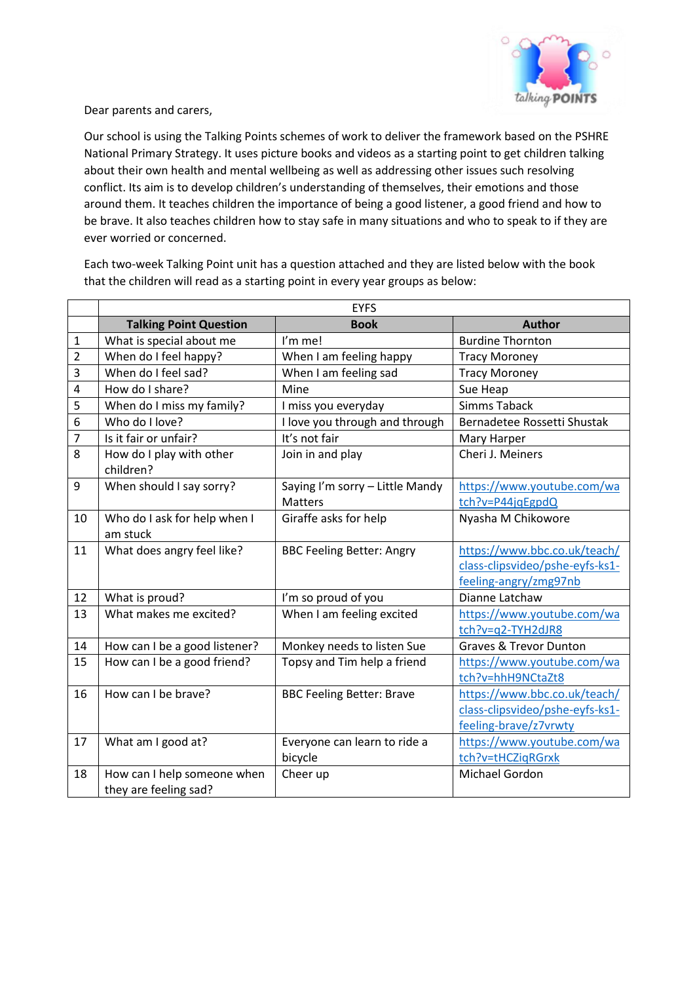

Dear parents and carers,

Our school is using the Talking Points schemes of work to deliver the framework based on the PSHRE National Primary Strategy. It uses picture books and videos as a starting point to get children talking about their own health and mental wellbeing as well as addressing other issues such resolving conflict. Its aim is to develop children's understanding of themselves, their emotions and those around them. It teaches children the importance of being a good listener, a good friend and how to be brave. It also teaches children how to stay safe in many situations and who to speak to if they are ever worried or concerned.

EYFS **Talking Point Question Author Book Author** 1 What is special about me I'm me! Burdine Thornton 2 When do I feel happy? When I am feeling happy Tracy Moroney 3 When do I feel sad? | When I am feeling sad | Tracy Moroney 4 | How do I share? | Mine | Mine | Sue Heap 5 When do I miss my family? I miss you everyday Simms Taback 6 | Who do I love? | I love you through and through | Bernadetee Rossetti Shustak 7 | Is it fair or unfair? | It's not fair | Mary Harper 8 How do I play with other children? Join in and play Cheri J. Meiners 9 | When should I say sorry? Saying I'm sorry – Little Mandy **Matters** [https://www.youtube.com/wa](https://www.youtube.com/watch?v=P44jqEgpdQ) [tch?v=P44jqEgpdQ](https://www.youtube.com/watch?v=P44jqEgpdQ) 10 Who do I ask for help when I am stuck Giraffe asks for help Nyasha M Chikowore 11 | What does angry feel like? | BBC Feeling Better: Angry | [https://www.bbc.co.uk/teach/](https://www.bbc.co.uk/teach/class-clipsvideo/pshe-eyfs-ks1-feeling-angry/zmg97nb) [class-clipsvideo/pshe-eyfs-ks1](https://www.bbc.co.uk/teach/class-clipsvideo/pshe-eyfs-ks1-feeling-angry/zmg97nb) [feeling-angry/zmg97nb](https://www.bbc.co.uk/teach/class-clipsvideo/pshe-eyfs-ks1-feeling-angry/zmg97nb) 12 | What is proud? | I'm so proud of you | Dianne Latchaw 13 What makes me excited? When I am feeling excited [https://www.youtube.com/wa](https://www.youtube.com/watch?v=q2-TYH2dJR8) [tch?v=q2-TYH2dJR8](https://www.youtube.com/watch?v=q2-TYH2dJR8) 14  $\mid$  How can I be a good listener?  $\mid$  Monkey needs to listen Sue  $\mid$  Graves & Trevor Dunton 15  $\vert$  How can I be a good friend?  $\vert$  Topsy and Tim help a friend  $\vert$  [https://www.youtube.com/wa](https://www.youtube.com/watch?v=hhH9NCtaZt8) [tch?v=hhH9NCtaZt8](https://www.youtube.com/watch?v=hhH9NCtaZt8) 16 | How can I be brave? | BBC Feeling Better: Brave | [https://www.bbc.co.uk/teach/](https://www.bbc.co.uk/teach/class-clipsvideo/pshe-eyfs-ks1-feeling-brave/z7vrwty) [class-clipsvideo/pshe-eyfs-ks1](https://www.bbc.co.uk/teach/class-clipsvideo/pshe-eyfs-ks1-feeling-brave/z7vrwty) [feeling-brave/z7vrwty](https://www.bbc.co.uk/teach/class-clipsvideo/pshe-eyfs-ks1-feeling-brave/z7vrwty) 17 | What am I good at? | Everyone can learn to ride a bicycle [https://www.youtube.com/wa](https://www.youtube.com/watch?v=tHCZiqRGrxk) [tch?v=tHCZiqRGrxk](https://www.youtube.com/watch?v=tHCZiqRGrxk) 18 How can I help someone when they are feeling sad? Cheer up **Michael Gordon** 

Each two-week Talking Point unit has a question attached and they are listed below with the book that the children will read as a starting point in every year groups as below: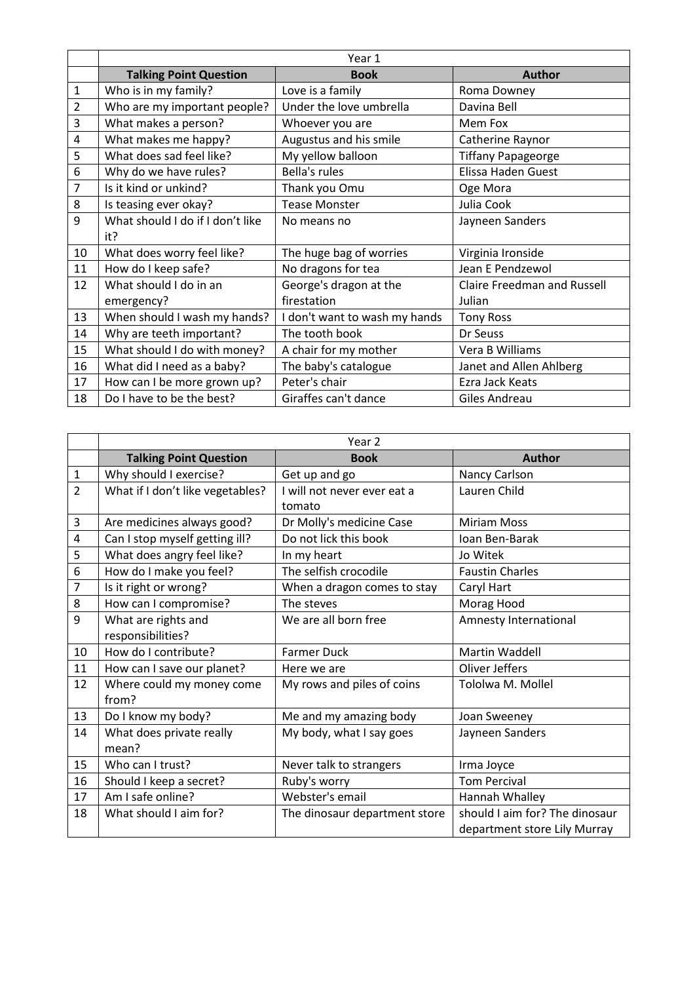|                | Year 1                           |                               |                                    |
|----------------|----------------------------------|-------------------------------|------------------------------------|
|                | <b>Talking Point Question</b>    | <b>Book</b>                   | <b>Author</b>                      |
| 1              | Who is in my family?             | Love is a family              | Roma Downey                        |
| $\overline{2}$ | Who are my important people?     | Under the love umbrella       | Davina Bell                        |
| 3              | What makes a person?             | Whoever you are               | Mem Fox                            |
| 4              | What makes me happy?             | Augustus and his smile        | Catherine Raynor                   |
| 5              | What does sad feel like?         | My yellow balloon             | <b>Tiffany Papageorge</b>          |
| 6              | Why do we have rules?            | Bella's rules                 | Elissa Haden Guest                 |
| 7              | Is it kind or unkind?            | Thank you Omu                 | Oge Mora                           |
| 8              | Is teasing ever okay?            | <b>Tease Monster</b>          | Julia Cook                         |
| 9              | What should I do if I don't like | No means no                   | Jayneen Sanders                    |
|                | it?                              |                               |                                    |
| 10             | What does worry feel like?       | The huge bag of worries       | Virginia Ironside                  |
| 11             | How do I keep safe?              | No dragons for tea            | Jean E Pendzewol                   |
| 12             | What should I do in an           | George's dragon at the        | <b>Claire Freedman and Russell</b> |
|                | emergency?                       | firestation                   | Julian                             |
| 13             | When should I wash my hands?     | I don't want to wash my hands | <b>Tony Ross</b>                   |
| 14             | Why are teeth important?         | The tooth book                | Dr Seuss                           |
| 15             | What should I do with money?     | A chair for my mother         | Vera B Williams                    |
| 16             | What did I need as a baby?       | The baby's catalogue          | Janet and Allen Ahlberg            |
| 17             | How can I be more grown up?      | Peter's chair                 | Ezra Jack Keats                    |
| 18             | Do I have to be the best?        | Giraffes can't dance          | Giles Andreau                      |

|                | Year 2                           |                               |                                |
|----------------|----------------------------------|-------------------------------|--------------------------------|
|                | <b>Talking Point Question</b>    | <b>Book</b>                   | <b>Author</b>                  |
| $\mathbf{1}$   | Why should I exercise?           | Get up and go                 | Nancy Carlson                  |
| $\overline{2}$ | What if I don't like vegetables? | I will not never ever eat a   | Lauren Child                   |
|                |                                  | tomato                        |                                |
| 3              | Are medicines always good?       | Dr Molly's medicine Case      | <b>Miriam Moss</b>             |
| 4              | Can I stop myself getting ill?   | Do not lick this book         | Ioan Ben-Barak                 |
| 5              | What does angry feel like?       | In my heart                   | Jo Witek                       |
| 6              | How do I make you feel?          | The selfish crocodile         | <b>Faustin Charles</b>         |
| $\overline{7}$ | Is it right or wrong?            | When a dragon comes to stay   | Caryl Hart                     |
| 8              | How can I compromise?            | The steves                    | Morag Hood                     |
| 9              | What are rights and              | We are all born free          | Amnesty International          |
|                | responsibilities?                |                               |                                |
| 10             | How do I contribute?             | <b>Farmer Duck</b>            | <b>Martin Waddell</b>          |
| 11             | How can I save our planet?       | Here we are                   | Oliver Jeffers                 |
| 12             | Where could my money come        | My rows and piles of coins    | Tololwa M. Mollel              |
|                | from?                            |                               |                                |
| 13             | Do I know my body?               | Me and my amazing body        | Joan Sweeney                   |
| 14             | What does private really         | My body, what I say goes      | Jayneen Sanders                |
|                | mean?                            |                               |                                |
| 15             | Who can I trust?                 | Never talk to strangers       | Irma Joyce                     |
| 16             | Should I keep a secret?          | Ruby's worry                  | <b>Tom Percival</b>            |
| 17             | Am I safe online?                | Webster's email               | Hannah Whalley                 |
| 18             | What should I aim for?           | The dinosaur department store | should I aim for? The dinosaur |
|                |                                  |                               | department store Lily Murray   |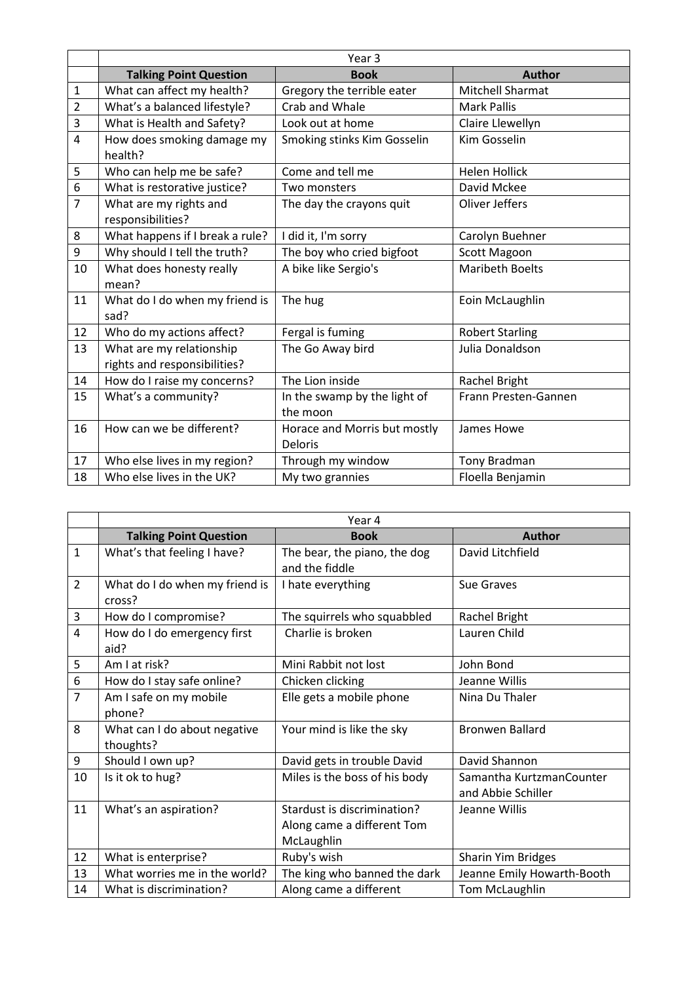|                | Year 3                                                   |                                                |                        |
|----------------|----------------------------------------------------------|------------------------------------------------|------------------------|
|                | <b>Talking Point Question</b>                            | <b>Book</b>                                    | <b>Author</b>          |
| $\mathbf{1}$   | What can affect my health?                               | Gregory the terrible eater                     | Mitchell Sharmat       |
| $\overline{2}$ | What's a balanced lifestyle?                             | Crab and Whale                                 | <b>Mark Pallis</b>     |
| 3              | What is Health and Safety?                               | Look out at home                               | Claire Llewellyn       |
| $\overline{4}$ | How does smoking damage my<br>health?                    | Smoking stinks Kim Gosselin                    | <b>Kim Gosselin</b>    |
| 5              | Who can help me be safe?                                 | Come and tell me                               | <b>Helen Hollick</b>   |
| 6              | What is restorative justice?                             | Two monsters                                   | David Mckee            |
| $\overline{7}$ | What are my rights and<br>responsibilities?              | The day the crayons quit                       | Oliver Jeffers         |
| 8              | What happens if I break a rule?                          | I did it, I'm sorry                            | Carolyn Buehner        |
| 9              | Why should I tell the truth?                             | The boy who cried bigfoot                      | <b>Scott Magoon</b>    |
| 10             | What does honesty really<br>mean?                        | A bike like Sergio's                           | <b>Maribeth Boelts</b> |
| 11             | What do I do when my friend is<br>sad?                   | The hug                                        | Eoin McLaughlin        |
| 12             | Who do my actions affect?                                | Fergal is fuming                               | <b>Robert Starling</b> |
| 13             | What are my relationship<br>rights and responsibilities? | The Go Away bird                               | Julia Donaldson        |
| 14             | How do I raise my concerns?                              | The Lion inside                                | Rachel Bright          |
| 15             | What's a community?                                      | In the swamp by the light of<br>the moon       | Frann Presten-Gannen   |
| 16             | How can we be different?                                 | Horace and Morris but mostly<br><b>Deloris</b> | James Howe             |
| 17             | Who else lives in my region?                             | Through my window                              | Tony Bradman           |
| 18             | Who else lives in the UK?                                | My two grannies                                | Floella Benjamin       |

|                | Year 4                                    |                                                                         |                                                |
|----------------|-------------------------------------------|-------------------------------------------------------------------------|------------------------------------------------|
|                | <b>Talking Point Question</b>             | <b>Book</b>                                                             | <b>Author</b>                                  |
| $\mathbf{1}$   | What's that feeling I have?               | The bear, the piano, the dog<br>and the fiddle                          | David Litchfield                               |
| $\overline{2}$ | What do I do when my friend is<br>cross?  | I hate everything                                                       | Sue Graves                                     |
| 3              | How do I compromise?                      | The squirrels who squabbled                                             | Rachel Bright                                  |
| $\overline{4}$ | How do I do emergency first<br>aid?       | Charlie is broken                                                       | Lauren Child                                   |
| 5              | Am I at risk?                             | Mini Rabbit not lost                                                    | John Bond                                      |
| 6              | How do I stay safe online?                | Chicken clicking                                                        | Jeanne Willis                                  |
| $\overline{7}$ | Am I safe on my mobile<br>phone?          | Elle gets a mobile phone                                                | Nina Du Thaler                                 |
| 8              | What can I do about negative<br>thoughts? | Your mind is like the sky                                               | <b>Bronwen Ballard</b>                         |
| 9              | Should I own up?                          | David gets in trouble David                                             | David Shannon                                  |
| 10             | Is it ok to hug?                          | Miles is the boss of his body                                           | Samantha KurtzmanCounter<br>and Abbie Schiller |
| 11             | What's an aspiration?                     | Stardust is discrimination?<br>Along came a different Tom<br>McLaughlin | Jeanne Willis                                  |
| 12             | What is enterprise?                       | Ruby's wish                                                             | Sharin Yim Bridges                             |
| 13             | What worries me in the world?             | The king who banned the dark                                            | Jeanne Emily Howarth-Booth                     |
| 14             | What is discrimination?                   | Along came a different                                                  | Tom McLaughlin                                 |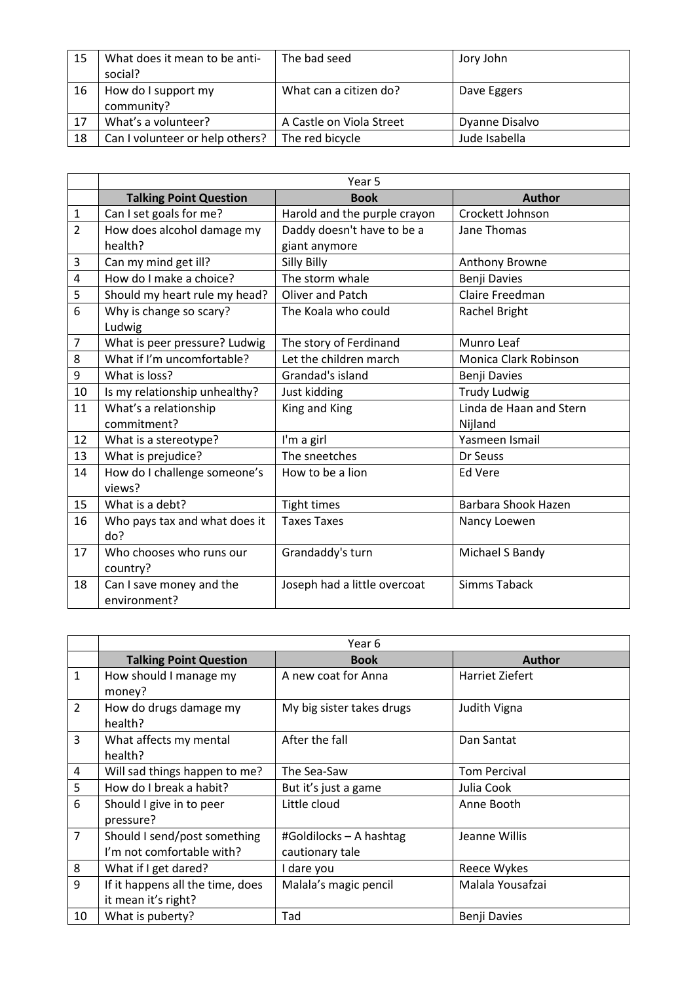| 15 | What does it mean to be anti-<br>social? | The bad seed             | Jory John      |
|----|------------------------------------------|--------------------------|----------------|
| 16 | How do I support my<br>community?        | What can a citizen do?   | Dave Eggers    |
| 17 | What's a volunteer?                      | A Castle on Viola Street | Dyanne Disalvo |
| 18 | Can I volunteer or help others?          | The red bicycle          | Jude Isabella  |

|                         | Year 5                        |                              |                              |
|-------------------------|-------------------------------|------------------------------|------------------------------|
|                         | <b>Talking Point Question</b> | <b>Book</b>                  | <b>Author</b>                |
| $\mathbf{1}$            | Can I set goals for me?       | Harold and the purple crayon | Crockett Johnson             |
| $\overline{2}$          | How does alcohol damage my    | Daddy doesn't have to be a   | Jane Thomas                  |
|                         | health?                       | giant anymore                |                              |
| 3                       | Can my mind get ill?          | Silly Billy                  | Anthony Browne               |
| $\overline{\mathbf{4}}$ | How do I make a choice?       | The storm whale              | Benji Davies                 |
| 5                       | Should my heart rule my head? | <b>Oliver and Patch</b>      | Claire Freedman              |
| 6                       | Why is change so scary?       | The Koala who could          | Rachel Bright                |
|                         | Ludwig                        |                              |                              |
| $\overline{7}$          | What is peer pressure? Ludwig | The story of Ferdinand       | Munro Leaf                   |
| 8                       | What if I'm uncomfortable?    | Let the children march       | <b>Monica Clark Robinson</b> |
| 9                       | What is loss?                 | Grandad's island             | Benji Davies                 |
| 10                      | Is my relationship unhealthy? | Just kidding                 | <b>Trudy Ludwig</b>          |
| 11                      | What's a relationship         | King and King                | Linda de Haan and Stern      |
|                         | commitment?                   |                              | Nijland                      |
| 12                      | What is a stereotype?         | I'm a girl                   | Yasmeen Ismail               |
| 13                      | What is prejudice?            | The sneetches                | Dr Seuss                     |
| 14                      | How do I challenge someone's  | How to be a lion             | Ed Vere                      |
|                         | views?                        |                              |                              |
| 15                      | What is a debt?               | Tight times                  | Barbara Shook Hazen          |
| 16                      | Who pays tax and what does it | <b>Taxes Taxes</b>           | Nancy Loewen                 |
|                         | do?                           |                              |                              |
| 17                      | Who chooses who runs our      | Grandaddy's turn             | Michael S Bandy              |
|                         | country?                      |                              |                              |
| 18                      | Can I save money and the      | Joseph had a little overcoat | <b>Simms Taback</b>          |
|                         | environment?                  |                              |                              |

|                | Year 6                                                    |                                            |                     |
|----------------|-----------------------------------------------------------|--------------------------------------------|---------------------|
|                | <b>Talking Point Question</b>                             | <b>Book</b>                                | <b>Author</b>       |
| $\mathbf{1}$   | How should I manage my<br>money?                          | A new coat for Anna                        | Harriet Ziefert     |
| $\overline{2}$ | How do drugs damage my<br>health?                         | My big sister takes drugs                  | Judith Vigna        |
| 3              | What affects my mental<br>health?                         | After the fall                             | Dan Santat          |
| 4              | Will sad things happen to me?                             | The Sea-Saw                                | <b>Tom Percival</b> |
| 5              | How do I break a habit?                                   | But it's just a game                       | Julia Cook          |
| 6              | Should I give in to peer<br>pressure?                     | Little cloud                               | Anne Booth          |
| $\overline{7}$ | Should I send/post something<br>I'm not comfortable with? | #Goldilocks - A hashtag<br>cautionary tale | Jeanne Willis       |
| 8              | What if I get dared?                                      | I dare you                                 | Reece Wykes         |
| 9              | If it happens all the time, does<br>it mean it's right?   | Malala's magic pencil                      | Malala Yousafzai    |
| 10             | What is puberty?                                          | Tad                                        | Benji Davies        |